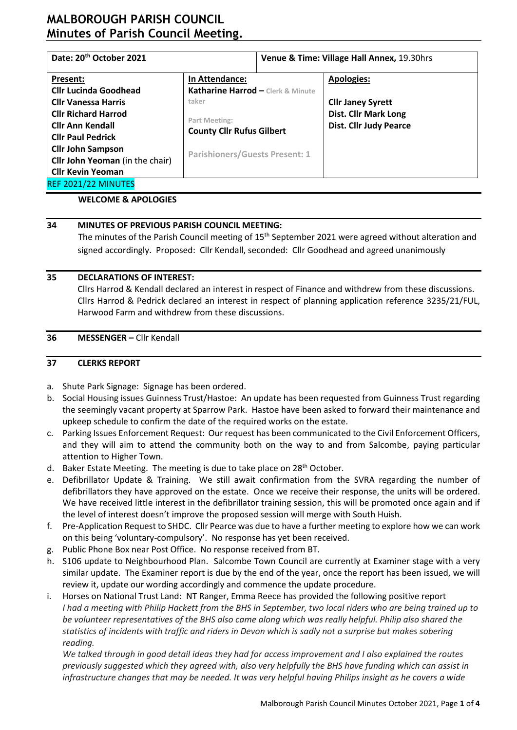# **MALBOROUGH PARISH COUNCIL Minutes of Parish Council Meeting.**

| Date: 20 <sup>th</sup> October 2021                                |                                            | Venue & Time: Village Hall Annex, 19.30hrs |                                                              |  |  |  |  |
|--------------------------------------------------------------------|--------------------------------------------|--------------------------------------------|--------------------------------------------------------------|--|--|--|--|
| In Attendance:<br>Present:                                         |                                            |                                            | Apologies:                                                   |  |  |  |  |
| <b>Cllr Lucinda Goodhead</b><br><b>Cllr Vanessa Harris</b>         | Katharine Harrod - Clerk & Minute<br>taker |                                            | <b>Cllr Janey Syrett</b>                                     |  |  |  |  |
| <b>Cllr Richard Harrod</b><br><b>Cllr Ann Kendall</b>              | Part Meeting:                              |                                            | <b>Dist. Cllr Mark Long</b><br><b>Dist. Cllr Judy Pearce</b> |  |  |  |  |
| <b>Cllr Paul Pedrick</b>                                           | <b>County Cllr Rufus Gilbert</b>           |                                            |                                                              |  |  |  |  |
| <b>Cllr John Sampson</b><br><b>Cllr John Yeoman</b> (in the chair) | <b>Parishioners/Guests Present: 1</b>      |                                            |                                                              |  |  |  |  |
| <b>Cllr Kevin Yeoman</b>                                           |                                            |                                            |                                                              |  |  |  |  |
| REF 2021/22 MINUTES                                                |                                            |                                            |                                                              |  |  |  |  |

#### **WELCOME & APOLOGIES**

### **34 MINUTES OF PREVIOUS PARISH COUNCIL MEETING:**

The minutes of the Parish Council meeting of 15<sup>th</sup> September 2021 were agreed without alteration and signed accordingly. Proposed: Cllr Kendall, seconded: Cllr Goodhead and agreed unanimously

#### **35 DECLARATIONS OF INTEREST:**

Cllrs Harrod & Kendall declared an interest in respect of Finance and withdrew from these discussions. Cllrs Harrod & Pedrick declared an interest in respect of planning application reference 3235/21/FUL, Harwood Farm and withdrew from these discussions.

#### **36 MESSENGER –** Cllr Kendall

#### **37 CLERKS REPORT**

- a. Shute Park Signage: Signage has been ordered.
- b. Social Housing issues Guinness Trust/Hastoe: An update has been requested from Guinness Trust regarding the seemingly vacant property at Sparrow Park. Hastoe have been asked to forward their maintenance and upkeep schedule to confirm the date of the required works on the estate.
- c. Parking Issues Enforcement Request: Our request has been communicated to the Civil Enforcement Officers, and they will aim to attend the community both on the way to and from Salcombe, paying particular attention to Higher Town.
- d. Baker Estate Meeting. The meeting is due to take place on  $28<sup>th</sup>$  October.
- e. Defibrillator Update & Training.We still await confirmation from the SVRA regarding the number of defibrillators they have approved on the estate. Once we receive their response, the units will be ordered. We have received little interest in the defibrillator training session, this will be promoted once again and if the level of interest doesn't improve the proposed session will merge with South Huish.
- f. Pre-Application Request to SHDC. Cllr Pearce was due to have a further meeting to explore how we can work on this being 'voluntary-compulsory'. No response has yet been received.
- g. Public Phone Box near Post Office. No response received from BT.
- h. S106 update to Neighbourhood Plan. Salcombe Town Council are currently at Examiner stage with a very similar update. The Examiner report is due by the end of the year, once the report has been issued, we will review it, update our wording accordingly and commence the update procedure.
- i. Horses on National Trust Land: NT Ranger, Emma Reece has provided the following positive report *I had a meeting with Philip Hackett from the BHS in September, two local riders who are being trained up to be volunteer representatives of the BHS also came along which was really helpful. Philip also shared the statistics of incidents with traffic and riders in Devon which is sadly not a surprise but makes sobering reading.*

*We talked through in good detail ideas they had for access improvement and I also explained the routes previously suggested which they agreed with, also very helpfully the BHS have funding which can assist in infrastructure changes that may be needed. It was very helpful having Philips insight as he covers a wide*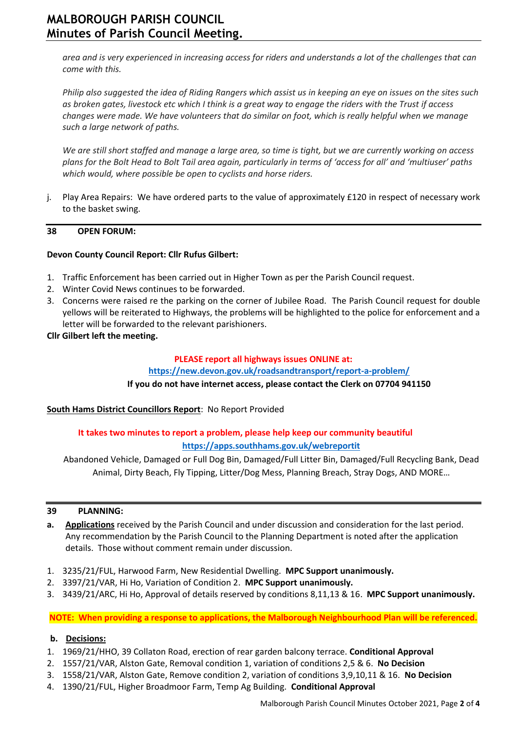*area and is very experienced in increasing access for riders and understands a lot of the challenges that can come with this.*

*Philip also suggested the idea of Riding Rangers which assist us in keeping an eye on issues on the sites such as broken gates, livestock etc which I think is a great way to engage the riders with the Trust if access changes were made. We have volunteers that do similar on foot, which is really helpful when we manage such a large network of paths.*

*We are still short staffed and manage a large area, so time is tight, but we are currently working on access plans for the Bolt Head to Bolt Tail area again, particularly in terms of 'access for all' and 'multiuser' paths which would, where possible be open to cyclists and horse riders.*

j. Play Area Repairs: We have ordered parts to the value of approximately £120 in respect of necessary work to the basket swing.

### **38 OPEN FORUM:**

### **Devon County Council Report: Cllr Rufus Gilbert:**

- 1. Traffic Enforcement has been carried out in Higher Town as per the Parish Council request.
- 2. Winter Covid News continues to be forwarded.
- 3. Concerns were raised re the parking on the corner of Jubilee Road. The Parish Council request for double yellows will be reiterated to Highways, the problems will be highlighted to the police for enforcement and a letter will be forwarded to the relevant parishioners.
- **Cllr Gilbert left the meeting.**

#### **PLEASE report all highways issues ONLINE at:**

#### **<https://new.devon.gov.uk/roadsandtransport/report-a-problem/>**

#### **If you do not have internet access, please contact the Clerk on 07704 941150**

#### **South Hams District Councillors Report**: No Report Provided

## **It takes two minutes to report a problem, please help keep our community beautiful <https://apps.southhams.gov.uk/webreportit>**

Abandoned Vehicle, Damaged or Full Dog Bin, Damaged/Full Litter Bin, Damaged/Full Recycling Bank, Dead Animal, Dirty Beach, Fly Tipping, Litter/Dog Mess, Planning Breach, Stray Dogs, AND MORE…

#### **39 PLANNING:**

- **a. Applications** received by the Parish Council and under discussion and consideration for the last period. Any recommendation by the Parish Council to the Planning Department is noted after the application details. Those without comment remain under discussion.
- 1. 3235/21/FUL, Harwood Farm, New Residential Dwelling. **MPC Support unanimously.**
- 2. 3397/21/VAR, Hi Ho, Variation of Condition 2. **MPC Support unanimously.**
- 3. 3439/21/ARC, Hi Ho, Approval of details reserved by conditions 8,11,13 & 16. **MPC Support unanimously.**

**NOTE: When providing a response to applications, the Malborough Neighbourhood Plan will be referenced.**

#### **b. Decisions:**

- 1. 1969/21/HHO, 39 Collaton Road, erection of rear garden balcony terrace. **Conditional Approval**
- 2. 1557/21/VAR, Alston Gate, Removal condition 1, variation of conditions 2,5 & 6. **No Decision**
- 3. 1558/21/VAR, Alston Gate, Remove condition 2, variation of conditions 3,9,10,11 & 16. **No Decision**
- 4. 1390/21/FUL, Higher Broadmoor Farm, Temp Ag Building. **Conditional Approval**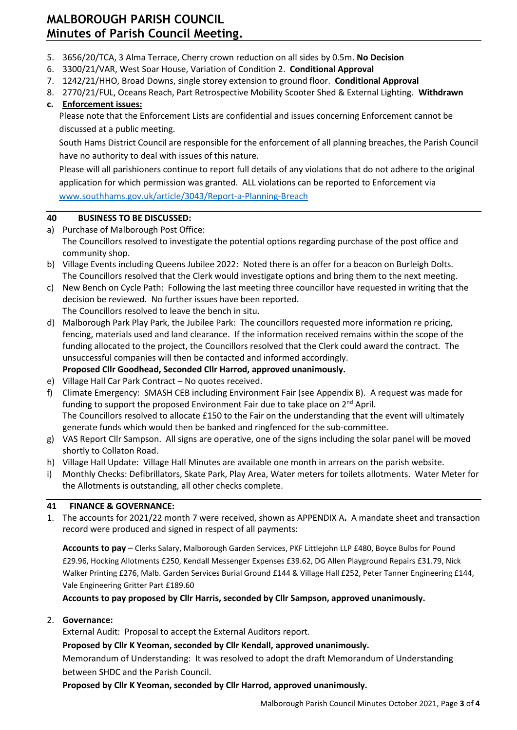# **MALBOROUGH PARISH COUNCIL Minutes of Parish Council Meeting.**

- 5. 3656/20/TCA, 3 Alma Terrace, Cherry crown reduction on all sides by 0.5m. **No Decision**
- 6. 3300/21/VAR, West Soar House, Variation of Condition 2. **Conditional Approval**
- 7. 1242/21/HHO, Broad Downs, single storey extension to ground floor. **Conditional Approval**
- 8. 2770/21/FUL, Oceans Reach, Part Retrospective Mobility Scooter Shed & External Lighting. **Withdrawn c. Enforcement issues:**

## Please note that the Enforcement Lists are confidential and issues concerning Enforcement cannot be discussed at a public meeting.

South Hams District Council are responsible for the enforcement of all planning breaches, the Parish Council have no authority to deal with issues of this nature.

Please will all parishioners continue to report full details of any violations that do not adhere to the original application for which permission was granted. ALL violations can be reported to Enforcement via [www.southhams.gov.uk/article/3043/Report-a-Planning-Breach](http://www.southhams.gov.uk/article/3043/Report-a-Planning-Breach)

### **40 BUSINESS TO BE DISCUSSED:**

- a) Purchase of Malborough Post Office: The Councillors resolved to investigate the potential options regarding purchase of the post office and community shop.
- b) Village Events including Queens Jubilee 2022: Noted there is an offer for a beacon on Burleigh Dolts. The Councillors resolved that the Clerk would investigate options and bring them to the next meeting.
- c) New Bench on Cycle Path: Following the last meeting three councillor have requested in writing that the decision be reviewed. No further issues have been reported.
- The Councillors resolved to leave the bench in situ.
- d) Malborough Park Play Park, the Jubilee Park: The councillors requested more information re pricing, fencing, materials used and land clearance. If the information received remains within the scope of the funding allocated to the project, the Councillors resolved that the Clerk could award the contract. The unsuccessful companies will then be contacted and informed accordingly. **Proposed Cllr Goodhead, Seconded Cllr Harrod, approved unanimously.**
- e) Village Hall Car Park Contract No quotes received.
- f) Climate Emergency: SMASH CEB including Environment Fair (see Appendix B). A request was made for funding to support the proposed Environment Fair due to take place on  $2^{nd}$  April. The Councillors resolved to allocate £150 to the Fair on the understanding that the event will ultimately generate funds which would then be banked and ringfenced for the sub-committee.
- g) VAS Report Cllr Sampson. All signs are operative, one of the signs including the solar panel will be moved shortly to Collaton Road.
- h) Village Hall Update: Village Hall Minutes are available one month in arrears on the parish website.
- i) Monthly Checks: Defibrillators, Skate Park, Play Area, Water meters for toilets allotments. Water Meter for the Allotments is outstanding, all other checks complete.

### **41 FINANCE & GOVERNANCE:**

1. The accounts for 2021/22 month 7 were received, shown as APPENDIX A**.** A mandate sheet and transaction record were produced and signed in respect of all payments:

**Accounts to pay** – Clerks Salary, Malborough Garden Services, PKF Littlejohn LLP £480, Boyce Bulbs for Pound £29.96, Hocking Allotments £250, Kendall Messenger Expenses £39.62, DG Allen Playground Repairs £31.79, Nick Walker Printing £276, Malb. Garden Services Burial Ground £144 & Village Hall £252, Peter Tanner Engineering £144, Vale Engineering Gritter Part £189.60

**Accounts to pay proposed by Cllr Harris, seconded by Cllr Sampson, approved unanimously.** 

#### 2. **Governance:**

External Audit: Proposal to accept the External Auditors report.

#### **Proposed by Cllr K Yeoman, seconded by Cllr Kendall, approved unanimously.**

Memorandum of Understanding: It was resolved to adopt the draft Memorandum of Understanding between SHDC and the Parish Council.

**Proposed by Cllr K Yeoman, seconded by Cllr Harrod, approved unanimously.**